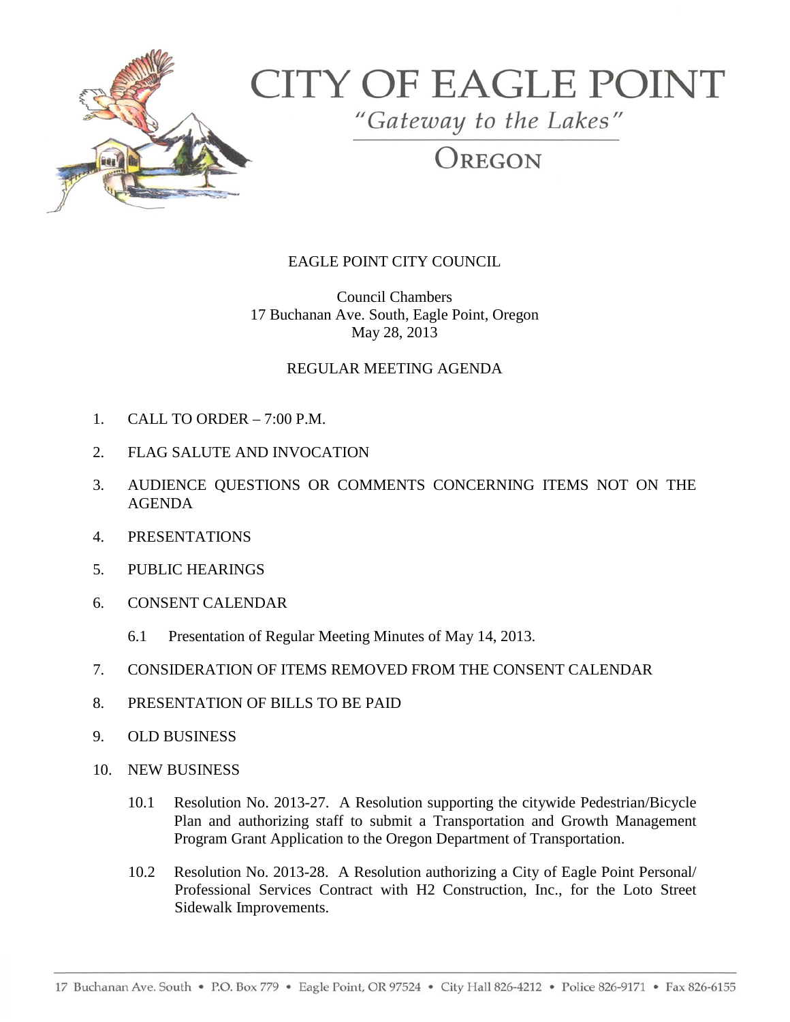

## **CITY OF EAGLE POINT**

"Gateway to the Lakes"

OREGON

## EAGLE POINT CITY COUNCIL

Council Chambers 17 Buchanan Ave. South, Eagle Point, Oregon May 28, 2013

## REGULAR MEETING AGENDA

- 1. CALL TO ORDER 7:00 P.M.
- 2. FLAG SALUTE AND INVOCATION
- 3. AUDIENCE QUESTIONS OR COMMENTS CONCERNING ITEMS NOT ON THE AGENDA
- 4. PRESENTATIONS
- 5. PUBLIC HEARINGS
- 6. CONSENT CALENDAR
	- 6.1 Presentation of Regular Meeting Minutes of May 14, 2013.
- 7. CONSIDERATION OF ITEMS REMOVED FROM THE CONSENT CALENDAR
- 8. PRESENTATION OF BILLS TO BE PAID
- 9. OLD BUSINESS
- 10. NEW BUSINESS
	- 10.1 Resolution No. 2013-27. A Resolution supporting the citywide Pedestrian/Bicycle Plan and authorizing staff to submit a Transportation and Growth Management Program Grant Application to the Oregon Department of Transportation.
	- 10.2 Resolution No. 2013-28. A Resolution authorizing a City of Eagle Point Personal/ Professional Services Contract with H2 Construction, Inc., for the Loto Street Sidewalk Improvements.